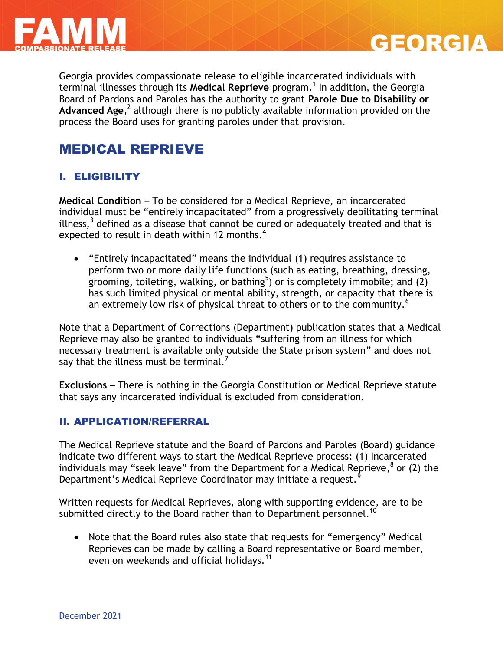

Georgia provides compassionate release to eligible incarcerated individuals with terminal illnesses through its Medical Reprieve program.<sup>1</sup> In addition, the Georgia Board of Pardons and Paroles has the authority to grant **Parole Due to Disability or**  Advanced Age,<sup>2</sup> although there is no publicly available information provided on the process the Board uses for granting paroles under that provision.

**GEORGIA** 

# MEDICAL REPRIEVE

# I. ELIGIBILITY

**Medical Condition** – To be considered for a Medical Reprieve, an incarcerated individual must be "entirely incapacitated" from a progressively debilitating terminal illness, $3$  defined as a disease that cannot be cured or adequately treated and that is expected to result in death within 12 months.<sup>4</sup>

 "Entirely incapacitated" means the individual (1) requires assistance to perform two or more daily life functions (such as eating, breathing, dressing, grooming, toileting, walking, or bathing<sup>5</sup>) or is completely immobile; and (2) has such limited physical or mental ability, strength, or capacity that there is an extremely low risk of physical threat to others or to the community.<sup>6</sup>

Note that a Department of Corrections (Department) publication states that a Medical Reprieve may also be granted to individuals "suffering from an illness for which necessary treatment is available only outside the State prison system" and does not say that the illness must be terminal.<sup>7</sup>

**Exclusions** – There is nothing in the Georgia Constitution or Medical Reprieve statute that says any incarcerated individual is excluded from consideration.

# II. APPLICATION/REFERRAL

The Medical Reprieve statute and the Board of Pardons and Paroles (Board) guidance indicate two different ways to start the Medical Reprieve process: (1) Incarcerated individuals may "seek leave" from the Department for a Medical Reprieve, <sup>8</sup> or (2) the Department's Medical Reprieve Coordinator may initiate a request.<sup>9</sup>

Written requests for Medical Reprieves, along with supporting evidence, are to be submitted directly to the Board rather than to Department personnel.<sup>10</sup>

 Note that the Board rules also state that requests for "emergency" Medical Reprieves can be made by calling a Board representative or Board member, even on weekends and official holidays.<sup>11</sup>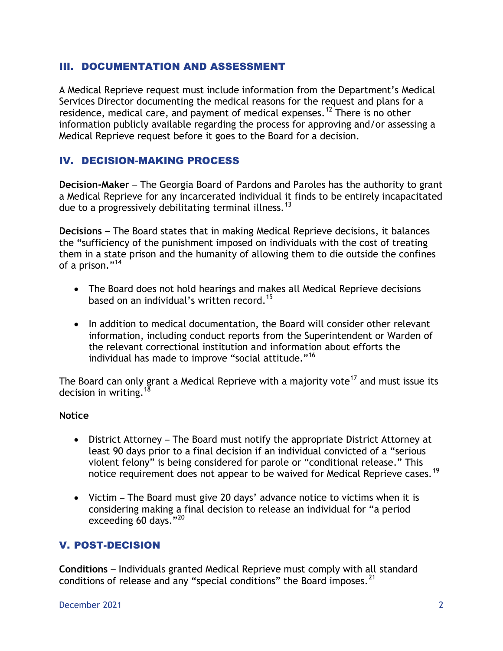### III. DOCUMENTATION AND ASSESSMENT

A Medical Reprieve request must include information from the Department's Medical Services Director documenting the medical reasons for the request and plans for a residence, medical care, and payment of medical expenses.<sup>12</sup> There is no other information publicly available regarding the process for approving and/or assessing a Medical Reprieve request before it goes to the Board for a decision.

## IV. DECISION-MAKING PROCESS

**Decision-Maker** – The Georgia Board of Pardons and Paroles has the authority to grant a Medical Reprieve for any incarcerated individual it finds to be entirely incapacitated due to a progressively debilitating terminal illness.<sup>13</sup>

**Decisions** – The Board states that in making Medical Reprieve decisions, it balances the "sufficiency of the punishment imposed on individuals with the cost of treating them in a state prison and the humanity of allowing them to die outside the confines of a prison."<sup>14</sup>

- The Board does not hold hearings and makes all Medical Reprieve decisions based on an individual's written record.<sup>15</sup>
- In addition to medical documentation, the Board will consider other relevant information, including conduct reports from the Superintendent or Warden of the relevant correctional institution and information about efforts the individual has made to improve "social attitude."<sup>16</sup>

The Board can only grant a Medical Reprieve with a majority vote<sup>17</sup> and must issue its decision in writing.<sup>18</sup>

### **Notice**

- District Attorney The Board must notify the appropriate District Attorney at least 90 days prior to a final decision if an individual convicted of a "serious violent felony" is being considered for parole or "conditional release." This notice requirement does not appear to be waived for Medical Reprieve cases.<sup>19</sup>
- Victim The Board must give 20 days' advance notice to victims when it is considering making a final decision to release an individual for "a period exceeding 60 days."<sup>20</sup>

# V. POST-DECISION

**Conditions** – Individuals granted Medical Reprieve must comply with all standard conditions of release and any "special conditions" the Board imposes.<sup>21</sup>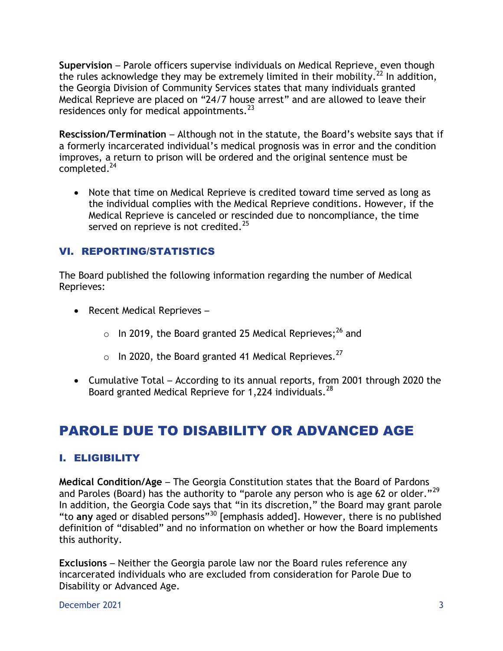**Supervision** – Parole officers supervise individuals on Medical Reprieve, even though the rules acknowledge they may be extremely limited in their mobility.<sup>22</sup> In addition, the Georgia Division of Community Services states that many individuals granted Medical Reprieve are placed on "24/7 house arrest" and are allowed to leave their residences only for medical appointments.<sup>23</sup>

**Rescission/Termination** – Although not in the statute, the Board's website says that if a formerly incarcerated individual's medical prognosis was in error and the condition improves, a return to prison will be ordered and the original sentence must be completed. 24

 Note that time on Medical Reprieve is credited toward time served as long as the individual complies with the Medical Reprieve conditions. However, if the Medical Reprieve is canceled or rescinded due to noncompliance, the time served on reprieve is not credited. $25$ 

# VI. REPORTING/STATISTICS

The Board published the following information regarding the number of Medical Reprieves:

- Recent Medical Reprieves -
	- $\circ$  In 2019, the Board granted 25 Medical Reprieves;<sup>26</sup> and
	- $\circ$  In 2020, the Board granted 41 Medical Reprieves.<sup>27</sup>
- Cumulative Total According to its annual reports, from 2001 through 2020 the Board granted Medical Reprieve for 1,224 individuals.  $^{28}$

# PAROLE DUE TO DISABILITY OR ADVANCED AGE

# I. ELIGIBILITY

**Medical Condition/Age** – The Georgia Constitution states that the Board of Pardons and Paroles (Board) has the authority to "parole any person who is age 62 or older."<sup>29</sup> In addition, the Georgia Code says that "in its discretion," the Board may grant parole "to **any** aged or disabled persons"<sup>30</sup> [emphasis added]. However, there is no published definition of "disabled" and no information on whether or how the Board implements this authority.

**Exclusions** – Neither the Georgia parole law nor the Board rules reference any incarcerated individuals who are excluded from consideration for Parole Due to Disability or Advanced Age.

December 2021 3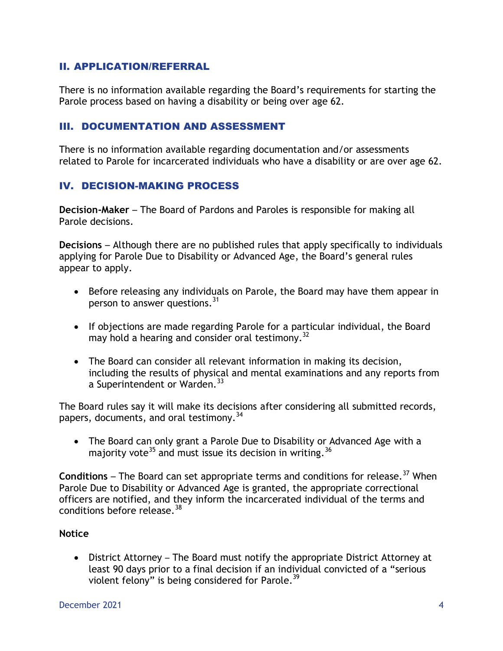## II. APPLICATION/REFERRAL

There is no information available regarding the Board's requirements for starting the Parole process based on having a disability or being over age 62.

### III. DOCUMENTATION AND ASSESSMENT

There is no information available regarding documentation and/or assessments related to Parole for incarcerated individuals who have a disability or are over age 62.

## IV. DECISION-MAKING PROCESS

**Decision-Maker** – The Board of Pardons and Paroles is responsible for making all Parole decisions.

**Decisions** – Although there are no published rules that apply specifically to individuals applying for Parole Due to Disability or Advanced Age, the Board's general rules appear to apply.

- Before releasing any individuals on Parole, the Board may have them appear in person to answer questions. $31$
- If objections are made regarding Parole for a particular individual, the Board may hold a hearing and consider oral testimony.<sup>32</sup>
- The Board can consider all relevant information in making its decision, including the results of physical and mental examinations and any reports from a Superintendent or Warden.<sup>33</sup>

The Board rules say it will make its decisions after considering all submitted records, papers, documents, and oral testimony.<sup>34</sup>

 The Board can only grant a Parole Due to Disability or Advanced Age with a majority vote<sup>35</sup> and must issue its decision in writing.<sup>36</sup>

**Conditions** – The Board can set appropriate terms and conditions for release.<sup>37</sup> When Parole Due to Disability or Advanced Age is granted, the appropriate correctional officers are notified, and they inform the incarcerated individual of the terms and conditions before release.  $^{38}$ 

### **Notice**

 District Attorney – The Board must notify the appropriate District Attorney at least 90 days prior to a final decision if an individual convicted of a "serious violent felony" is being considered for Parole.<sup>39</sup>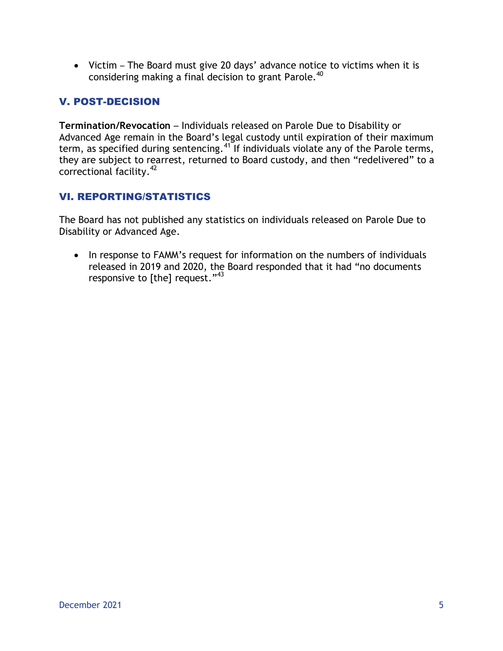Victim – The Board must give 20 days' advance notice to victims when it is considering making a final decision to grant Parole. 40

# V. POST-DECISION

**Termination/Revocation** – Individuals released on Parole Due to Disability or Advanced Age remain in the Board's legal custody until expiration of their maximum term, as specified during sentencing.<sup>41</sup> If individuals violate any of the Parole terms, they are subject to rearrest, returned to Board custody, and then "redelivered" to a correctional facility. 42

# VI. REPORTING/STATISTICS

The Board has not published any statistics on individuals released on Parole Due to Disability or Advanced Age.

• In response to FAMM's request for information on the numbers of individuals released in 2019 and 2020, the Board responded that it had "no documents responsive to [the] request."<sup>43</sup>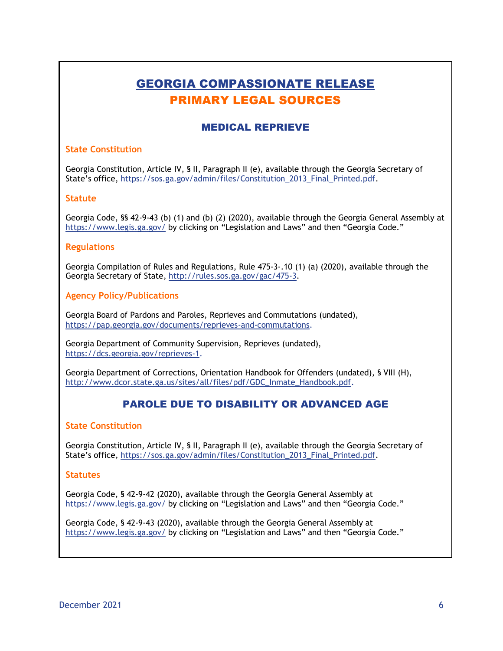# GEORGIA COMPASSIONATE RELEASE PRIMARY LEGAL SOURCES

## MEDICAL REPRIEVE

### **State Constitution**

Georgia Constitution, Article IV, § II, Paragraph II (e), available through the Georgia Secretary of State's office, [https://sos.ga.gov/admin/files/Constitution\\_2013\\_Final\\_Printed.pdf.](https://sos.ga.gov/admin/files/Constitution_2013_Final_Printed.pdf)

#### **Statute**

Georgia Code, §§ 42-9-43 (b) (1) and (b) (2) (2020), available through the Georgia General Assembly at <https://www.legis.ga.gov/> by clicking on "Legislation and Laws" and then "Georgia Code."

#### **Regulations**

Georgia Compilation of Rules and Regulations, Rule 475-3-.10 (1) (a) (2020), available through the Georgia Secretary of State, [http://rules.sos.ga.gov/gac/475-3.](http://rules.sos.ga.gov/gac/475-3)

### **Agency Policy/Publications**

Georgia Board of Pardons and Paroles, Reprieves and Commutations (undated), [https://pap.georgia.gov/documents/reprieves-and-commutations.](https://pap.georgia.gov/documents/reprieves-and-commutations)

Georgia Department of Community Supervision, Reprieves (undated), [https://dcs.georgia.gov/reprieves-1.](https://dcs.georgia.gov/reprieves-1)

Georgia Department of Corrections, Orientation Handbook for Offenders (undated), § VIII (H), [http://www.dcor.state.ga.us/sites/all/files/pdf/GDC\\_Inmate\\_Handbook.pdf.](http://www.dcor.state.ga.us/sites/all/files/pdf/GDC_Inmate_Handbook.pdf)

### PAROLE DUE TO DISABILITY OR ADVANCED AGE

#### **State Constitution**

Georgia Constitution, Article IV, § II, Paragraph II (e), available through the Georgia Secretary of State's office, [https://sos.ga.gov/admin/files/Constitution\\_2013\\_Final\\_Printed.pdf.](https://sos.ga.gov/admin/files/Constitution_2013_Final_Printed.pdf)

#### **Statutes**

Georgia Code, § 42-9-42 (2020), available through the Georgia General Assembly at <https://www.legis.ga.gov/> by clicking on "Legislation and Laws" and then "Georgia Code."

Georgia Code, § 42-9-43 (2020), available through the Georgia General Assembly at <https://www.legis.ga.gov/> by clicking on "Legislation and Laws" and then "Georgia Code."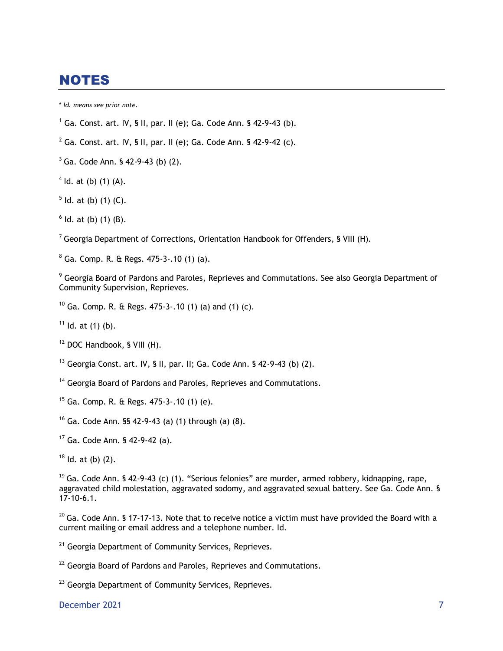# NOTES

\* *Id. means see prior note.*

- <sup>1</sup> Ga. Const. art. IV, § II, par. II (e); Ga. Code Ann. § 42-9-43 (b).
- <sup>2</sup> Ga. Const. art. IV, § II, par. II (e); Ga. Code Ann. § 42-9-42 (c).
- $3^3$  Ga. Code Ann. § 42-9-43 (b) (2).
- $4$  ld. at (b) (1) (A).
- $5$  ld. at (b) (1) (C).
- $<sup>6</sup>$  ld. at (b) (1) (B).</sup>

 $7$  Georgia Department of Corrections, Orientation Handbook for Offenders, § VIII (H).

<sup>8</sup> Ga. Comp. R. & Regs. 475-3-.10 (1) (a).

<sup>9</sup> Georgia Board of Pardons and Paroles, Reprieves and Commutations. See also Georgia Department of Community Supervision, Reprieves.

<sup>10</sup> Ga. Comp. R. & Regs.  $475-3$ -.10 (1) (a) and (1) (c).

 $11$  Id. at (1) (b).

<sup>12</sup> DOC Handbook, § VIII (H).

<sup>13</sup> Georgia Const. art. IV, § II, par. II; Ga. Code Ann. § 42-9-43 (b) (2).

- <sup>14</sup> Georgia Board of Pardons and Paroles, Reprieves and Commutations.
- $15$  Ga. Comp. R. & Regs. 475-3-.10 (1) (e).
- <sup>16</sup> Ga. Code Ann. §§ 42-9-43 (a) (1) through (a) (8).
- <sup>17</sup> Ga. Code Ann. § 42-9-42 (a).
- $18$  Id. at (b) (2).

 $19$  Ga. Code Ann. § 42-9-43 (c) (1). "Serious felonies" are murder, armed robbery, kidnapping, rape, aggravated child molestation, aggravated sodomy, and aggravated sexual battery. See Ga. Code Ann. § 17-10-6.1.

 $20$  Ga. Code Ann. § 17-17-13. Note that to receive notice a victim must have provided the Board with a current mailing or email address and a telephone number. Id.

<sup>21</sup> Georgia Department of Community Services, Reprieves*.*

 $22$  Georgia Board of Pardons and Paroles, Reprieves and Commutations.

<sup>23</sup> Georgia Department of Community Services, Reprieves*.*